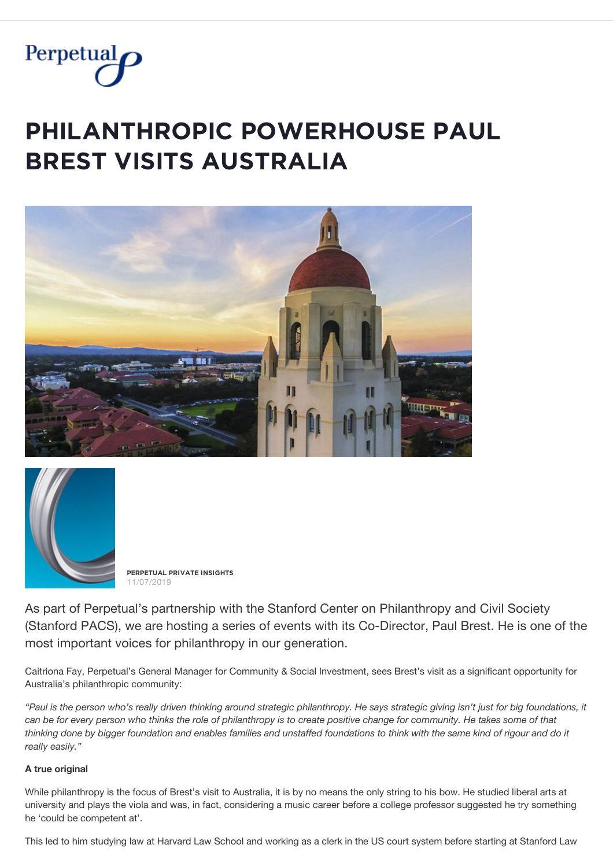

# $P$ **PHILANTHROPIC POWERHOUSE PAUL BREST VISITS AUSTRALIA**





**PĚŘPĚȚŲǺĿ PŘİVǺȚĚ İŇȘİĢĦȚȘ** 11/07/2019

As part of Perpetual's partnership with the Stanford Center on Philanthropy and Civil Society (Stanford PACS), we are hosting a series of events with its Co-Director, Paul Brest. He is one of the most important voices for philanthropy in our generation.

Caitriona Fay, Perpetual's General Manager for Community & Social Investment, sees Brest's visit as a significant opportunity for Australia's philanthropic community:

*"Paul is the person who's really driven thinking around strategic philanthropy. He says strategic giving isn't just for big foundations, it can be for every person who thinks the role of philanthropy is to create positive change for community. He takes some of that thinking done by bigger foundation and enables families and unstaffed foundations to think with the same kind of rigour and do it really easily."*

#### **A true original**

While philanthropy is the focus of Brest's visit to Australia, it is by no means the only string to his bow. He studied liberal arts at university and plays the viola and was, in fact, considering a music career before a college professor suggested he try something he 'could be competent at'.

This led to him studying law at Harvard Law School and working as a clerk in the US court system before starting at Stanford Law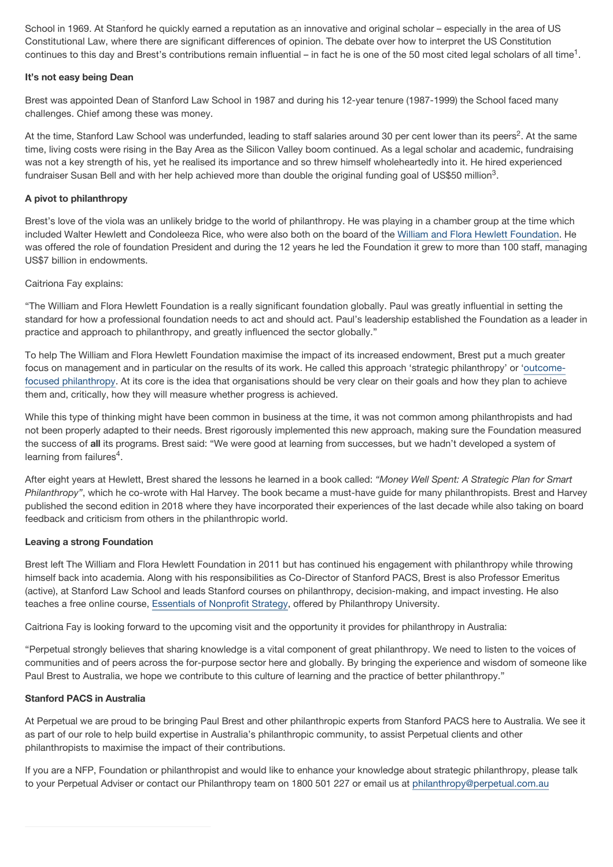School in 1969. At Stanford he quickly earned a reputation as an innovative and original scholar – especially in the area of US Constitutional Law, where there are significant differences of opinion. The debate over how to interpret the US Constitution continues to this day and Brest's contributions remain influential – in fact he is one of the 50 most cited legal scholars of all time<sup>1</sup>.

This led to him studying law at Harvard Law School and working as a clerk in the US court system before starting at Stanford Law

#### **It's not easy being Dean**

Brest was appointed Dean of Stanford Law School in 1987 and during his 12-year tenure (1987-1999) the School faced many challenges. Chief among these was money.

At the time, Stanford Law School was underfunded, leading to staff salaries around 30 per cent lower than its peers<sup>2</sup>. At the same time, living costs were rising in the Bay Area as the Silicon Valley boom continued. As a legal scholar and academic, fundraising was not a key strength of his, yet he realised its importance and so threw himself wholeheartedly into it. He hired experienced fundraiser Susan Bell and with her help achieved more than double the original funding goal of US\$50 million<sup>3</sup>.

## **A pivot to philanthropy**

Brest's love of the viola was an unlikely bridge to the world of philanthropy. He was playing in a chamber group at the time which included Walter Hewlett and Condoleeza Rice, who were also both on the board of the [William and Flora Hewlett Foundation.](https://hewlett.org/) He was offered the role of foundation President and during the 12 years he led the Foundation it grew to more than 100 staff, managing US\$7 billion in endowments.

## Caitriona Fay explains:

"The William and Flora Hewlett Foundation is a really significant foundation globally. Paul was greatly influential in setting the standard for how a professional foundation needs to act and should act. Paul's leadership established the Foundation as a leader in practice and approach to philanthropy, and greatly influenced the sector globally."

To help The William and Flora Hewlett Foundation maximise the impact of its increased endowment, Brest put a much greater [focus on management and in particular on the results of its work. He called this approach 'strategic philanthropy' or 'outcome](https://hewlett.org/practical-guide-outcome-focused-philanthropy/)focused philanthropy. At its core is the idea that organisations should be very clear on their goals and how they plan to achieve them and, critically, how they will measure whether progress is achieved.

While this type of thinking might have been common in business at the time, it was not common among philanthropists and had not been properly adapted to their needs. Brest rigorously implemented this new approach, making sure the Foundation measured the success of **all** its programs. Brest said: "We were good at learning from successes, but we hadn't developed a system of learning from failures $4$ .

After eight years at Hewlett, Brest shared the lessons he learned in a book called: *"Money Well Spent: A Strategic Plan for Smart Philanthropy"*, which he co-wrote with Hal Harvey. The book became a must-have guide for many philanthropists. Brest and Harvey published the second edition in 2018 where they have incorporated their experiences of the last decade while also taking on board feedback and criticism from others in the philanthropic world.

# **Leaving a strong Foundation**

Brest left The William and Flora Hewlett Foundation in 2011 but has continued his engagement with philanthropy while throwing himself back into academia. Along with his responsibilities as Co-Director of Stanford PACS, Brest is also Professor Emeritus (active), at Stanford Law School and leads Stanford courses on philanthropy, decision-making, and impact investing. He also teaches a free online course, [Essentials of Nonprofit Strategy](https://courses.philanthropyu.org/courses/course-v1:PhilanthropyU+Strategy_000+1_1.0_20180402_20180527/about), offered by Philanthropy University.

Caitriona Fay is looking forward to the upcoming visit and the opportunity it provides for philanthropy in Australia:

"Perpetual strongly believes that sharing knowledge is a vital component of great philanthropy. We need to listen to the voices of communities and of peers across the for-purpose sector here and globally. By bringing the experience and wisdom of someone like Paul Brest to Australia, we hope we contribute to this culture of learning and the practice of better philanthropy."

## **Stanford PACS in Australia**

At Perpetual we are proud to be bringing Paul Brest and other philanthropic experts from Stanford PACS here to Australia. We see it as part of our role to help build expertise in Australia's philanthropic community, to assist Perpetual clients and other philanthropists to maximise the impact of their contributions.

If you are a NFP, Foundation or philanthropist and would like to enhance your knowledge about strategic philanthropy, please talk to your Perpetual Adviser or contact our Philanthropy team on 1800 501 227 or email us at [philanthropy@perpetual.com.au](mailto:philanthropy@perpetual.com.au)